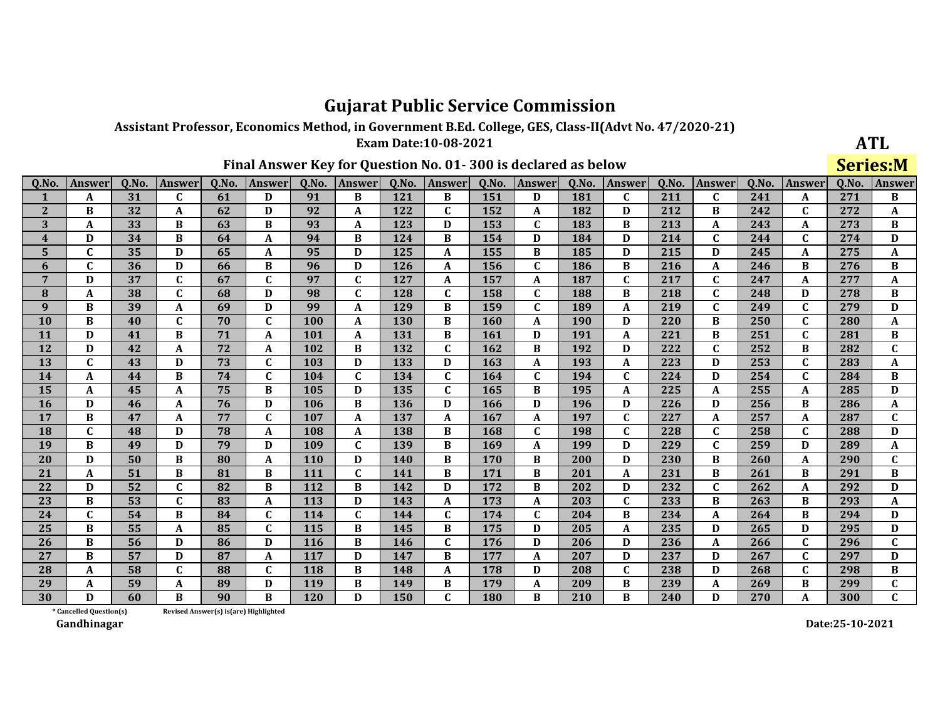Assistant Professor, Economics Method, in Government B.Ed. College, GES, Class-II(Advt No. 47/2020-21)

**Exam Date:10-08-2021** 

| ATL                        |
|----------------------------|
| $C_{\alpha \text{min.}} M$ |

|                         |               |       |               |       |               |       |               | <b>VACOCI</b> |              |       |               |       |               |       |              |       |               |       | JULIUJIIVI    |
|-------------------------|---------------|-------|---------------|-------|---------------|-------|---------------|---------------|--------------|-------|---------------|-------|---------------|-------|--------------|-------|---------------|-------|---------------|
| Q.No.                   | <b>Answer</b> | 0.No. | <b>Answer</b> | 0.No. | <b>Answer</b> | 0.No. | <b>Answer</b> | 0.No.         | Answer       | 0.No. | <b>Answer</b> | 0.No. | <b>Answer</b> | 0.No. | Answer       | 0.No. | <b>Answer</b> | 0.No. | <b>Answer</b> |
| $\mathbf{1}$            | A             | 31    | C             | 61    | D             | 91    | B             | 121           | B            | 151   | D             | 181   | C             | 211   | $\mathbf{C}$ | 241   | A             | 271   | B             |
| $\mathbf{2}$            | B             | 32    | A             | 62    | D             | 92    | A             | 122           | C            | 152   | A             | 182   | D             | 212   | B            | 242   | C             | 272   | A             |
| 3                       | A             | 33    | B             | 63    | B             | 93    | $\mathbf{A}$  | 123           | D            | 153   | $\mathbf{C}$  | 183   | B             | 213   | A            | 243   | A             | 273   | $\bf{B}$      |
| $\overline{\mathbf{4}}$ | D             | 34    | B             | 64    | A             | 94    | B             | 124           | B            | 154   | D             | 184   | D             | 214   | $\mathbf C$  | 244   | C             | 274   | D             |
| 5                       | $\mathbf{C}$  | 35    | D             | 65    | A             | 95    | D             | 125           | A            | 155   | B             | 185   | D             | 215   | D            | 245   | A             | 275   | A             |
| 6                       | $\mathbf{C}$  | 36    | D             | 66    | B             | 96    | D             | 126           | A            | 156   | C             | 186   | B             | 216   | A            | 246   | B             | 276   | B             |
| 7                       | D             | 37    | $\mathbf C$   | 67    | $\mathbf C$   | 97    | $\mathbf C$   | 127           | A            | 157   | A             | 187   | C             | 217   | $\mathbf{C}$ | 247   | A             | 277   | A             |
| 8                       | A             | 38    | $\mathbf C$   | 68    | D             | 98    | $\mathbf C$   | 128           | C            | 158   | C             | 188   | B             | 218   | $\mathbf C$  | 248   | D             | 278   | B             |
| 9                       | B             | 39    | A             | 69    | D             | 99    | A             | 129           | B            | 159   | $\mathbf{C}$  | 189   | A             | 219   | $\mathbf{C}$ | 249   | $\mathbf{C}$  | 279   | D             |
| 10                      | B             | 40    | C             | 70    | C             | 100   | A             | 130           | B            | 160   | A             | 190   | D             | 220   | B            | 250   | C             | 280   | A             |
| 11                      | D             | 41    | B             | 71    | A             | 101   | $\mathbf{A}$  | 131           | B            | 161   | $\mathbf D$   | 191   | A             | 221   | B            | 251   | $\mathbf{C}$  | 281   | $\bf{B}$      |
| 12                      | D             | 42    | A             | 72    | A             | 102   | B             | 132           | C            | 162   | B             | 192   | D             | 222   | $\mathbf C$  | 252   | B             | 282   | $\mathbf c$   |
| 13                      | $\mathbf{C}$  | 43    | D             | 73    | C             | 103   | D             | 133           | D            | 163   | A             | 193   | A             | 223   | D            | 253   | $\mathbf{C}$  | 283   | A             |
| 14                      | A             | 44    | B             | 74    | $\mathbf{C}$  | 104   | $\mathbf C$   | 134           | $\mathbf{C}$ | 164   | $\mathbf{C}$  | 194   | $\mathbf{C}$  | 224   | D            | 254   | $\mathbf C$   | 284   | B             |
| 15                      | A             | 45    | A             | 75    | B             | 105   | D             | 135           | $\mathbf{C}$ | 165   | B             | 195   | A             | 225   | A            | 255   | A             | 285   | D             |
| 16                      | D             | 46    | A             | 76    | D             | 106   | B             | 136           | D            | 166   | D             | 196   | D             | 226   | D            | 256   | B             | 286   | A             |
| 17                      | B             | 47    | A             | 77    | $\mathbf{C}$  | 107   | $\mathbf{A}$  | 137           | A            | 167   | A             | 197   | $\mathbf{C}$  | 227   | A            | 257   | A             | 287   | $\mathbf C$   |
| 18                      | $\mathbf{C}$  | 48    | D             | 78    | A             | 108   | A             | 138           | B            | 168   | C             | 198   | C             | 228   | C            | 258   | C             | 288   | D             |
| 19                      | B             | 49    | D             | 79    | D             | 109   | $\mathbf{C}$  | 139           | B            | 169   | A             | 199   | D             | 229   | $\mathbf{C}$ | 259   | D             | 289   | A             |
| 20                      | D             | 50    | B             | 80    | A             | 110   | D             | 140           | B            | 170   | B             | 200   | D             | 230   | B            | 260   | A             | 290   | $\mathbf{C}$  |
| 21                      | A             | 51    | B             | 81    | B             | 111   | $\mathbf C$   | 141           | B            | 171   | B             | 201   | A             | 231   | B            | 261   | B             | 291   | B             |
| 22                      | D             | 52    | $\mathbf{C}$  | 82    | B             | 112   | B             | 142           | D            | 172   | B             | 202   | D             | 232   | $\mathbf C$  | 262   | A             | 292   | D             |
| 23                      | B             | 53    | C             | 83    | A             | 113   | D             | 143           | A            | 173   | A             | 203   | C             | 233   | B            | 263   | B             | 293   | A             |
| 24                      | $\mathbf{C}$  | 54    | B             | 84    | $\mathbf C$   | 114   | $\mathbf C$   | 144           | $\mathbf C$  | 174   | $\mathbf{C}$  | 204   | B             | 234   | $\mathbf{A}$ | 264   | B             | 294   | D             |
| 25                      | B             | 55    | A             | 85    | $\mathbf{C}$  | 115   | B             | 145           | B            | 175   | D             | 205   | A             | 235   | D            | 265   | D             | 295   | D             |
| 26                      | B             | 56    | D             | 86    | D             | 116   | B             | 146           | C.           | 176   | D             | 206   | D             | 236   | A            | 266   | C             | 296   | $\mathbf{C}$  |
| 27                      | B             | 57    | D             | 87    | A             | 117   | D             | 147           | B            | 177   | A             | 207   | D             | 237   | D            | 267   | C             | 297   | D             |
| 28                      | A             | 58    | $\mathbf C$   | 88    | $\mathbf{C}$  | 118   | B             | 148           | A            | 178   | D             | 208   | C             | 238   | D            | 268   | $\mathbf{C}$  | 298   | $\bf{B}$      |
| 29                      | A             | 59    | A             | 89    | D             | 119   | B             | 149           | B            | 179   | A             | 209   | B             | 239   | A            | 269   | B             | 299   | $\mathbf C$   |
| 30                      | D             | 60    | R             | 90    | <sub>R</sub>  | 120   | D             | 150           | $\mathbf{C}$ | 180   | B             | 210   | R             | 240   | D            | 270   | A             | 300   | $\mathbf{C}$  |

Final Answer Key for Question No. 01-300 is declared as below

Date:25-10-2021

\* Cancelled Question(s) Gandhinagar

Revised Answer(s) is(are) Highlighted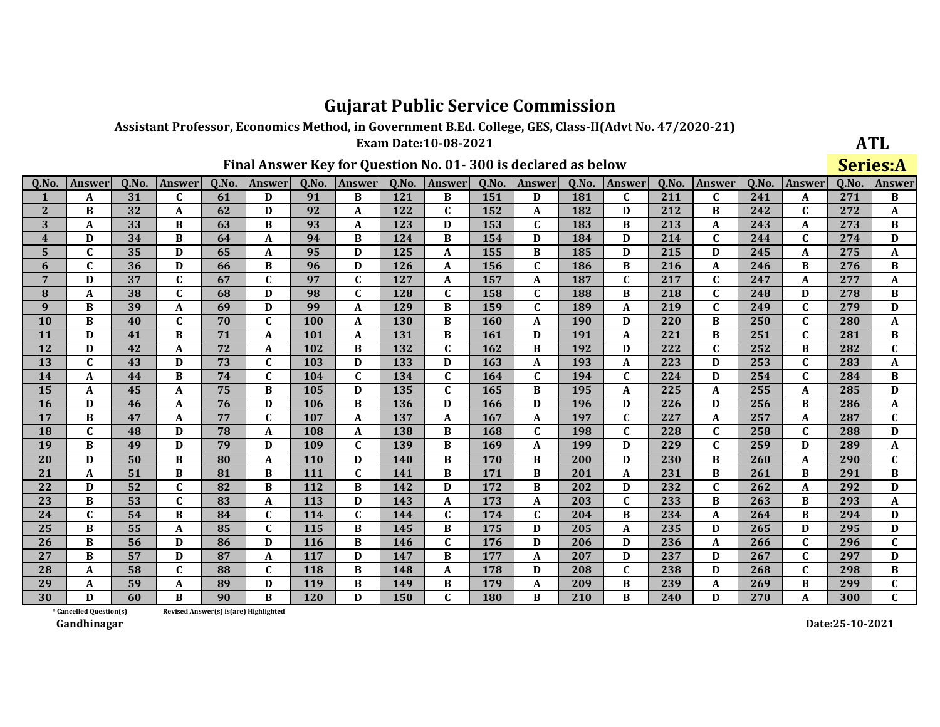Assistant Professor, Economics Method, in Government B.Ed. College, GES, Class-II(Advt No. 47/2020-21)

Exam Date:10-08-2021

|                         | Final Answer Key for Question No. 01-300 is declared as below |       |              |       |              |            |                  |            |              |       |              |       |              |       |              | <b>Series:A</b> |              |       |               |
|-------------------------|---------------------------------------------------------------|-------|--------------|-------|--------------|------------|------------------|------------|--------------|-------|--------------|-------|--------------|-------|--------------|-----------------|--------------|-------|---------------|
| Q.No.                   | Answer                                                        | Q.No. | Answer       | Q.No. | Answer       | Q.No.      | <b>Answer</b>    | Q.No.      | Answer       | Q.No. | Answer       | Q.No. | Answer       | Q.No. | Answer       | Q.No            | Answei       | Q.No. | <b>Answer</b> |
|                         | A                                                             | 31    | C            | 61    | D            | 91         | B                | 121        | B            | 151   | D            | 181   | C            | 211   | $\mathbf{C}$ | 241             | A            | 271   | B             |
| $\mathbf{2}$            | B                                                             | 32    | A            | 62    | D            | 92         | A                | 122        | $\mathbf{C}$ | 152   | A            | 182   | D            | 212   | B            | 242             | $\mathbf{C}$ | 272   | A             |
| 3                       | A                                                             | 33    | B            | 63    | B            | 93         | A                | 123        | D            | 153   | $\mathbf C$  | 183   | B            | 213   | A            | 243             | A            | 273   | B             |
| $\overline{\mathbf{4}}$ | D                                                             | 34    | B            | 64    | A            | 94         | B                | 124        | B            | 154   | D            | 184   | D            | 214   | $\mathbf C$  | 244             | $\mathbf{C}$ | 274   | D             |
| 5                       |                                                               | 35    | D            | 65    | A            | 95         | D                | 125        | A            | 155   | B            | 185   | D            | 215   | D            | 245             | A            | 275   | A             |
| 6                       | C.                                                            | 36    | D            | 66    | B            | 96         | D                | <b>126</b> | A            | 156   | $\mathbf{C}$ | 186   | B            | 216   | A            | 246             | B            | 276   | B             |
| 7                       | D                                                             | 37    | $\mathbf C$  | 67    | $\mathbf{C}$ | 97         | C                | 127        | A            | 157   | A            | 187   | $\mathbf{C}$ | 217   | $\mathbf C$  | 247             | A            | 277   | A             |
| 8                       | A                                                             | 38    | $\mathbf C$  | 68    | D            | 98         | $\mathbf C$      | 128        | $\mathbf{C}$ | 158   | $\mathbf{C}$ | 188   | B            | 218   | $\mathbf C$  | 248             | D            | 278   | B             |
| 9                       | B                                                             | 39    | A            | 69    | D            | 99         | A                | 129        | B            | 159   | $\mathbf{C}$ | 189   | A            | 219   | $\mathbf c$  | 249             | $\mathbf C$  | 279   | D             |
| 10                      | B                                                             | 40    | $\mathbf{C}$ | 70    | C            | 100        | $\mathbf{A}$     | 130        | B            | 160   | A            | 190   | D            | 220   | B            | 250             | $\mathbf{C}$ | 280   | A             |
| 11                      | D                                                             | 41    | B            | 71    | A            | 101        | A                | 131        | В            | 161   | D            | 191   | A            | 221   | B            | 251             | $\mathbf C$  | 281   | B             |
| 12                      | D                                                             | 42    | A            | 72    | A            | 102        | B                | 132        | C            | 162   | B            | 192   | D            | 222   | $\mathbf C$  | 252             | B            | 282   | $\mathbf C$   |
| 13                      | C.                                                            | 43    | D            | 73    | $\mathbf{C}$ | 103        | D                | 133        | D            | 163   | A            | 193   | A            | 223   | D            | 253             | $\mathbf C$  | 283   | A             |
| 14                      | A                                                             | 44    | B            | 74    | $\mathbf{C}$ | 104        | $\mathbf{C}$     | 134        | $\mathbf{C}$ | 164   | $\mathbf{C}$ | 194   | $\mathbf{C}$ | 224   | D            | 254             | $\mathbf{C}$ | 284   | B             |
| 15                      | A                                                             | 45    | A            | 75    | B            | 105        | D                | 135        | $\mathbf{C}$ | 165   | B            | 195   | A            | 225   | A            | 255             | A            | 285   | D             |
| 16                      | D                                                             | 46    | A            | 76    | D            | 106        | B                | 136        | D            | 166   | D            | 196   | D            | 226   | D            | 256             | B            | 286   | A             |
| 17                      | B                                                             | 47    | A            | 77    | $\mathbf{C}$ | 107        | $\boldsymbol{A}$ | 137        | A            | 167   | A            | 197   | $\mathbf{C}$ | 227   | A            | 257             | A            | 287   | $\mathbf C$   |
| 18                      | C                                                             | 48    | D            | 78    | A            | 108        | A                | 138        | B            | 168   | C            | 198   | $\mathbf C$  | 228   | $\mathbf C$  | 258             | $\mathbf C$  | 288   | D             |
| 19                      | B                                                             | 49    | D            | 79    | D            | 109        | $\mathbf C$      | 139        | B            | 169   | A            | 199   | D            | 229   | $\mathbf C$  | 259             | D            | 289   | A             |
| 20                      | D                                                             | 50    | B            | 80    | A            | <b>110</b> | D                | 140        | B            | 170   | B            | 200   | D            | 230   | $\bf{B}$     | 260             | A            | 290   | $\mathbf C$   |
| 21                      | A                                                             | 51    | B            | 81    | B            | 111        | $\mathbf C$      | 141        | B            | 171   | B            | 201   | A            | 231   | $\bf{B}$     | 261             | B            | 291   | $\bf{B}$      |
| 22                      | D                                                             | 52    | C            | 82    | B            | 112        | B                | 142        | D            | 172   | B            | 202   | D            | 232   | $\mathbf C$  | 262             | A            | 292   | D             |
| 23                      | B                                                             | 53    | $\mathbf C$  | 83    | A            | 113        | D                | 143        | A            | 173   | A            | 203   | $\mathbf{C}$ | 233   | $\bf{B}$     | 263             | B            | 293   | A             |
| 24                      | C                                                             | 54    | B            | 84    | C            | 114        | $\mathbf C$      | 144        | $\mathbf{C}$ | 174   | $\mathbf{C}$ | 204   | B            | 234   | A            | 264             | B            | 294   | D             |
| 25                      | B                                                             | 55    | A            | 85    | C.           | 115        | B                | 145        | B            | 175   | D            | 205   | A            | 235   | D            | 265             | D            | 295   | D             |
| 26                      | B                                                             | 56    | D            | 86    | D            | 116        | B                | 146        | $\mathbf{C}$ | 176   | D            | 206   | D            | 236   | A            | 266             | $\mathbf C$  | 296   | $\mathbf C$   |
| 27                      | B                                                             | 57    | D            | 87    | A            | 117        | D                | 147        | B            | 177   | A            | 207   | D            | 237   | D            | 267             | $\mathbf C$  | 297   | D             |
| 28                      | A                                                             | 58    | C            | 88    | C            | 118        | B                | 148        | A            | 178   | D            | 208   | C            | 238   | D            | 268             | C            | 298   | B             |
| 29                      | A                                                             | 59    | A            | 89    | D            | 119        | B                | 149        | B            | 179   | A            | 209   | B            | 239   | A            | 269             | B            | 299   | $\mathbf C$   |
| 30                      | D                                                             | 60    | R            | 90    | R            | 120        | $\mathbf{D}$     | 150        | C.           | 180   | R            | 210   | R            | 240   | D            | 270             | A            | 300   | $\mathbf{C}$  |

\* Cancelled Question(s) Gandhinagar

Revised Answer(s) is(are) Highlighted

Date:25-10-2021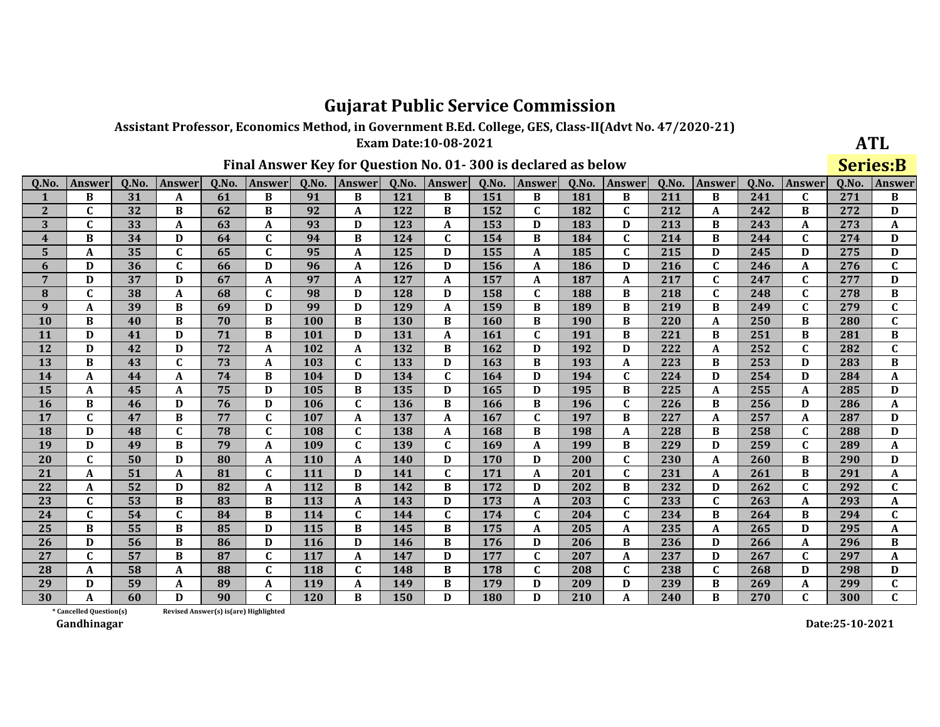Assistant Professor, Economics Method, in Government B.Ed. College, GES, Class-II(Advt No. 47/2020-21)

Exam Date:10-08-2021

| <b>ATL</b> |
|------------|
| rinc:<br>R |

|                         | Final Answer Key for Question No. 01-300 is declared as below |       |               |       |               |       |                  |       |               |       |               |       |               |       |                  | <b>Series:B</b> |               |       |                  |
|-------------------------|---------------------------------------------------------------|-------|---------------|-------|---------------|-------|------------------|-------|---------------|-------|---------------|-------|---------------|-------|------------------|-----------------|---------------|-------|------------------|
| Q.No.                   | <b>Answer</b>                                                 | Q.No. | <b>Answer</b> | Q.No. | <b>Answer</b> | Q.No. | <b>Answer</b>    | 0.No. | <b>Answer</b> | Q.No. | <b>Answer</b> | 0.No. | <b>Answer</b> | Q.No. | <b>Answer</b>    | Q.No.           | <b>Answer</b> | Q.No. | Answer           |
| 1                       | B                                                             | 31    | A             | 61    | B             | 91    | B                | 121   | B             | 151   | B             | 181   | B             | 211   | B                | 241             | C             | 271   | B                |
| $\mathbf{2}$            | $\mathbf C$                                                   | 32    | B             | 62    | B             | 92    | A                | 122   | B             | 152   | $\mathbf C$   | 182   | $\mathbf{C}$  | 212   | A                | 242             | B             | 272   | D                |
| 3                       |                                                               | 33    | A             | 63    | A             | 93    | D                | 123   | A             | 153   | D             | 183   | D             | 213   | B                | 243             | A             | 273   | A                |
| $\overline{\mathbf{4}}$ | B                                                             | 34    | D             | 64    | $\mathbf{C}$  | 94    | $\, {\bf B}$     | 124   | $\mathbf{C}$  | 154   | B             | 184   | $\mathbf{C}$  | 214   | $\bf{B}$         | 244             | $\mathbf{C}$  | 274   | D                |
| 5                       | A                                                             | 35    | $\mathbf{C}$  | 65    | $\mathbf{C}$  | 95    | $\boldsymbol{A}$ | 125   | D             | 155   | A             | 185   | C             | 215   | D                | 245             | D             | 275   | D                |
| 6                       | D                                                             | 36    | $\mathbf C$   | 66    | D             | 96    | A                | 126   | D             | 156   | A             | 186   | D             | 216   | $\mathbf C$      | 246             | A             | 276   | $\mathbf C$      |
| $\overline{7}$          | D                                                             | 37    | D             | 67    | $\mathbf A$   | 97    | $\boldsymbol{A}$ | 127   | A             | 157   | $\mathbf A$   | 187   | A             | 217   | $\mathbf C$      | 247             | C             | 277   | D                |
| 8                       | $\mathbf{C}$                                                  | 38    | A             | 68    | $\mathbf{C}$  | 98    | D                | 128   | D             | 158   | $\mathbf C$   | 188   | B             | 218   | $\mathbf C$      | 248             | $\mathbf{C}$  | 278   | $\bf{B}$         |
| 9                       | A                                                             | 39    | B             | 69    | D             | 99    | D                | 129   | A             | 159   | B             | 189   | B             | 219   | $\bf{B}$         | 249             | $\mathbf C$   | 279   | $\mathbf c$      |
| 10                      | B                                                             | 40    | B             | 70    | B             | 100   | B                | 130   | B             | 160   | B             | 190   | B             | 220   | A                | 250             | B             | 280   | $\mathbf C$      |
| 11                      | D                                                             | 41    | D             | 71    | B             | 101   | D                | 131   | A             | 161   | $\mathbf C$   | 191   | B             | 221   | B                | 251             | B             | 281   | $\, {\bf B}$     |
| 12                      | D                                                             | 42    | D             | 72    | A             | 102   | $\boldsymbol{A}$ | 132   | B             | 162   | D             | 192   | D             | 222   | A                | 252             | $\mathbf C$   | 282   | $\mathbf C$      |
| 13                      | B                                                             | 43    | $\mathbf C$   | 73    | A             | 103   | $\mathbf{C}$     | 133   | D             | 163   | B             | 193   | A             | 223   | B                | 253             | D             | 283   | B                |
| 14                      | A                                                             | 44    | A             | 74    | B             | 104   | D                | 134   | $\mathbf{C}$  | 164   | D             | 194   | $\mathbf{C}$  | 224   | D                | 254             | D             | 284   | $\boldsymbol{A}$ |
| 15                      | A                                                             | 45    | A             | 75    | D             | 105   | B                | 135   | D             | 165   | D             | 195   | B             | 225   | $\boldsymbol{A}$ | 255             | A             | 285   | D                |
| 16                      | B                                                             | 46    | D             | 76    | D             | 106   | $\mathbf{C}$     | 136   | B             | 166   | B             | 196   | $\mathbf{C}$  | 226   | B                | 256             | D             | 286   | A                |
| 17                      | C.                                                            | 47    | B             | 77    | $\mathbf{C}$  | 107   | $\boldsymbol{A}$ | 137   | A             | 167   | $\mathbf C$   | 197   | B             | 227   | A                | 257             | A             | 287   | D                |
| 18                      | D                                                             | 48    | $\mathbf{C}$  | 78    | $\mathbf C$   | 108   | $\mathbf C$      | 138   | A             | 168   | B             | 198   | A             | 228   | B                | 258             | $\mathbf C$   | 288   | D                |
| 19                      | D                                                             | 49    | B             | 79    | A             | 109   | $\mathbf{C}$     | 139   | $\mathbf C$   | 169   | A             | 199   | B             | 229   | D                | 259             | $\mathbf C$   | 289   | A                |
| 20                      | $\mathbf{C}$                                                  | 50    | D             | 80    | A             | 110   | A                | 140   | D             | 170   | D             | 200   | $\mathbf{C}$  | 230   | A                | 260             | B             | 290   | D                |
| 21                      | A                                                             | 51    | A             | 81    | $\mathbf{C}$  | 111   | D                | 141   | $\mathbf C$   | 171   | $\mathbf{A}$  | 201   | $\mathbf{C}$  | 231   | A                | 261             | B             | 291   | A                |
| 22                      | A                                                             | 52    | D             | 82    | A             | 112   | B                | 142   | B             | 172   | D             | 202   | B             | 232   | D                | 262             | $\mathbf{C}$  | 292   | $\mathbf c$      |
| 23                      | C                                                             | 53    | B             | 83    | B             | 113   | $\boldsymbol{A}$ | 143   | D             | 173   | A             | 203   | C             | 233   | $\mathbf{C}$     | 263             | A             | 293   | A                |
| 24                      | $\mathbf C$                                                   | 54    | $\mathbf C$   | 84    | B             | 114   | $\mathbf C$      | 144   | $\mathbf C$   | 174   | C             | 204   | $\mathbf C$   | 234   | B                | 264             | B             | 294   | $\mathbf C$      |
| 25                      | B                                                             | 55    | B             | 85    | D             | 115   | B                | 145   | B             | 175   | A             | 205   | A             | 235   | $\mathbf{A}$     | 265             | D             | 295   | A                |
| 26                      | D                                                             | 56    | B             | 86    | D             | 116   | D                | 146   | B             | 176   | D             | 206   | B             | 236   | D                | 266             | A             | 296   | $\bf{B}$         |
| 27                      | C                                                             | 57    | B             | 87    | C             | 117   | A                | 147   | D             | 177   | $\mathbf C$   | 207   | A             | 237   | D                | 267             | C             | 297   | A                |
| 28                      | A                                                             | 58    | A             | 88    | C             | 118   | $\mathbf C$      | 148   | B             | 178   | $\mathbf C$   | 208   | C             | 238   | $\mathbf C$      | 268             | D             | 298   | D                |
| 29                      | D                                                             | 59    | A             | 89    | A             | 119   | A                | 149   | B             | 179   | D             | 209   | D             | 239   | B                | 269             | A             | 299   | $\mathbf C$      |
| 30                      | A                                                             | 60    | $\mathbf{D}$  | 90    | $\mathbf{r}$  | 120   | B                | 150   | D             | 180   | $\mathbf{D}$  | 210   |               | 240   | B                | 270             | $\mathbf{C}$  | 300   | $\mathbf{C}$     |

Revised Answer(s) is(are) Highlighted

\* Cancelled Question(s) Gandhinagar

Date:25-10-2021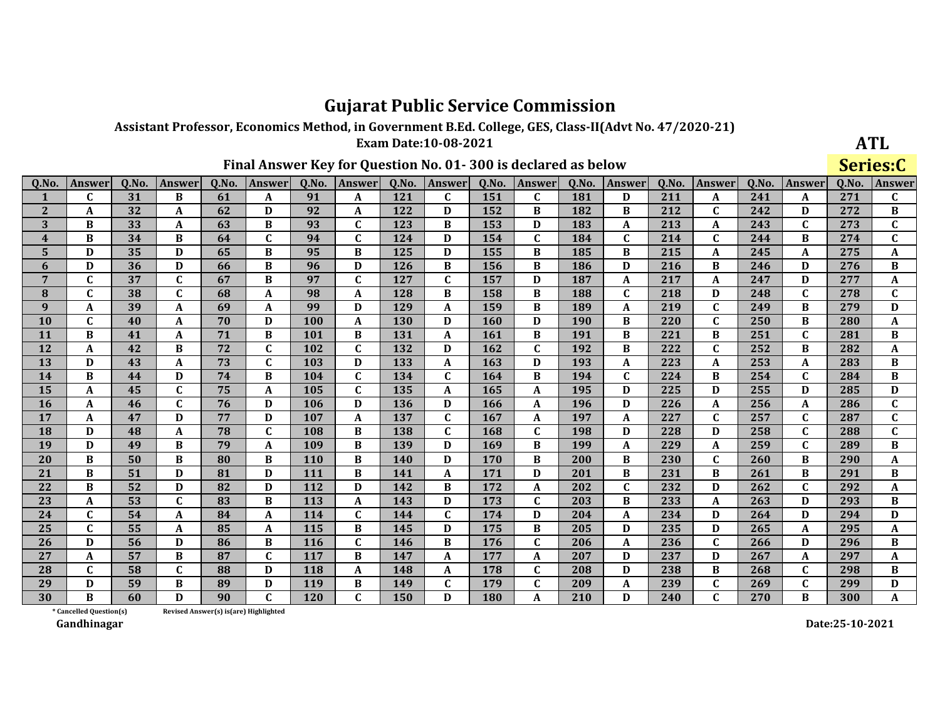Assistant Professor, Economics Method, in Government B.Ed. College, GES, Class-II(Advt No. 47/2020-21)

Exam Date:10-08-2021

| ATL      |
|----------|
| Sariac:C |

|                |                         |       |               |       |                                       |            |                           |       |              |       |               |            |               |       |               |       |              |       | <b>DELICOIT</b>           |
|----------------|-------------------------|-------|---------------|-------|---------------------------------------|------------|---------------------------|-------|--------------|-------|---------------|------------|---------------|-------|---------------|-------|--------------|-------|---------------------------|
| 0.No.          | Answer                  | 0.No. | <b>Answer</b> | 0.No. | Answer                                | 0.No.      | <b>Answer</b>             | 0.No. | Answer       | 0.No. | <b>Answer</b> | 0.No.      | <b>Answer</b> | 0.No. | <b>Answer</b> | 0.No. | Answer       | 0.No. | Answer                    |
| 1              | C                       | 31    | B             | 61    | A                                     | 91         | A                         | 121   | C            | 151   | $\mathbf{C}$  | 181        | D             | 211   | A             | 241   | A            | 271   | $\mathbf{C}$              |
| $\overline{2}$ | A                       | 32    | A             | 62    | D                                     | 92         | A                         | 122   | D            | 152   | B             | 182        | B             | 212   | $\mathbf C$   | 242   | D            | 272   | B                         |
| 3              | B                       | 33    | A             | 63    | B                                     | 93         | $\mathbf C$               | 123   | B            | 153   | D             | 183        | A             | 213   | A             | 243   | $\mathbf C$  | 273   | $\mathbf{C}$              |
| 4              | B                       | 34    | B             | 64    | $\mathbf{C}$                          | 94         | $\mathbf{C}$              | 124   | D            | 154   | $\mathbf{C}$  | 184        | $\mathbf C$   | 214   | $\mathbf{C}$  | 244   | B            | 274   | $\mathbf C$               |
| 5              | D                       | 35    | D             | 65    | B                                     | 95         | B                         | 125   | D            | 155   | B             | 185        | B             | 215   | A             | 245   | A            | 275   | A                         |
| 6              | D                       | 36    | D             | 66    | B                                     | 96         | D                         | 126   | B            | 156   | B             | 186        | D             | 216   | $\bf{B}$      | 246   | D            | 276   | B                         |
| 7              | C                       | 37    | $\mathbf{C}$  | 67    | B                                     | 97         | $\mathbf{C}$              | 127   | $\mathbf C$  | 157   | D             | 187        | A             | 217   | A             | 247   | D            | 277   | A                         |
| 8              | $\mathbf{C}$            | 38    | $\mathbf{C}$  | 68    | A                                     | 98         | A                         | 128   | B            | 158   | B             | 188        | $\mathbf C$   | 218   | D             | 248   | $\mathbf{C}$ | 278   | $\mathbf{C}$              |
| 9              | A                       | 39    | A             | 69    | A                                     | 99         | D                         | 129   | A            | 159   | B             | 189        | A             | 219   | $\mathbf C$   | 249   | B            | 279   | D                         |
| 10             | $\mathbf C$             | 40    | A             | 70    | D                                     | 100        | A                         | 130   | D            | 160   | D             | <b>190</b> | B             | 220   | $\mathbf C$   | 250   | B            | 280   | A                         |
| 11             | B                       | 41    | A             | 71    | B                                     | 101        | B                         | 131   | A            | 161   | B             | 191        | B             | 221   | B             | 251   | $\mathbf{C}$ | 281   | B                         |
| 12             | A                       | 42    | B             | 72    | $\mathbf{C}$                          | 102        | $\mathbf{C}$              | 132   | D            | 162   | $\mathbf C$   | 192        | B             | 222   | $\mathbf{C}$  | 252   | $\bf{B}$     | 282   | A                         |
| 13             | D                       | 43    | A             | 73    | $\mathbf{C}$                          | 103        | D                         | 133   | A            | 163   | D             | 193        | A             | 223   | A             | 253   | A            | 283   | B                         |
| 14             | B                       | 44    | D             | 74    | B                                     | 104        | $\mathbf C$               | 134   | $\mathbf C$  | 164   | B             | 194        | $\mathbf{C}$  | 224   | B             | 254   | $\mathbf C$  | 284   | B                         |
| 15             | A                       | 45    | $\mathbf{C}$  | 75    | A                                     | 105        | $\mathbf C$               | 135   | A            | 165   | A             | 195        | D             | 225   | D             | 255   | D            | 285   | D                         |
| 16             | A                       | 46    | $\mathbf{C}$  | 76    | D                                     | 106        | D                         | 136   | D            | 166   | A             | 196        | D             | 226   | A             | 256   | A            | 286   | $\mathbf C$               |
| 17             | A                       | 47    | D             | 77    | D                                     | 107        | $\boldsymbol{\mathsf{A}}$ | 137   | $\mathbf C$  | 167   | A             | 197        | $\mathbf A$   | 227   | $\mathbf C$   | 257   | $\mathbf C$  | 287   | $\mathbf{C}$              |
| 18             | D                       | 48    | A             | 78    | $\mathbf{C}$                          | 108        | B                         | 138   | $\mathbf{C}$ | 168   | $\mathbf{C}$  | 198        | D             | 228   | D             | 258   | $\mathbf C$  | 288   | $\overline{\mathfrak{c}}$ |
| 19             | D                       | 49    | B             | 79    | A                                     | 109        | B                         | 139   | D            | 169   | B             | 199        | A             | 229   | A             | 259   | $\mathbf C$  | 289   | $\, {\bf B}$              |
| 20             | B                       | 50    | B             | 80    | B                                     | 110        | B                         | 140   | D            | 170   | B             | 200        | B             | 230   | $\mathbf C$   | 260   | B            | 290   | A                         |
| 21             | B                       | 51    | D             | 81    | D                                     | 111        | B                         | 141   | A            | 171   | D             | 201        | B             | 231   | B             | 261   | B            | 291   | B                         |
| 22             | B                       | 52    | D             | 82    | D                                     | 112        | D                         | 142   | B            | 172   | A             | 202        | $\mathbf{C}$  | 232   | D             | 262   | $\mathbf C$  | 292   | A                         |
| 23             | A                       | 53    | $\mathbf{C}$  | 83    | B                                     | 113        | A                         | 143   | D            | 173   | $\mathbf{C}$  | 203        | B             | 233   | A             | 263   | D            | 293   | B                         |
| 24             | C.                      | 54    | A             | 84    | A                                     | 114        | $\mathbf C$               | 144   | $\mathbf{C}$ | 174   | D             | 204        | A             | 234   | D             | 264   | D            | 294   | $\mathbf D$               |
| 25             | C                       | 55    | A             | 85    | A                                     | 115        | $\, {\bf B}$              | 145   | D            | 175   | B             | 205        | D             | 235   | D             | 265   | A            | 295   | A                         |
| 26             | D                       | 56    | D             | 86    | B                                     | 116        | $\mathbf C$               | 146   | B            | 176   | $\mathbf C$   | 206        | A             | 236   | $\mathbf C$   | 266   | D            | 296   | B                         |
| 27             | A                       | 57    | B             | 87    | $\mathbf{C}$                          | 117        | B                         | 147   | A            | 177   | A             | 207        | D             | 237   | D             | 267   | A            | 297   | A                         |
| 28             | $\mathbf C$             | 58    | $\mathbf C$   | 88    | D                                     | 118        | $\mathbf A$               | 148   | A            | 178   | $\mathbf C$   | 208        | D             | 238   | B             | 268   | $\mathbf C$  | 298   | $\, {\bf B}$              |
| 29             | D                       | 59    | B             | 89    | D                                     | 119        | B                         | 149   | $\mathbf{C}$ | 179   | $\mathbf C$   | 209        | A             | 239   | $\mathbf c$   | 269   | $\mathbf c$  | 299   | D                         |
| 30             | <sub>R</sub>            | 60    | $\mathbf{D}$  | 90    | $\mathbf{C}$                          | <b>120</b> | $\mathbf{C}$              | 150   | D            | 180   | A             | 210        | D             | 240   | $\mathbf C$   | 270   | B            | 300   | A                         |
|                | * Cancelled Ouestion(s) |       |               |       | Revised Answer(s) is(are) Highlighted |            |                           |       |              |       |               |            |               |       |               |       |              |       |                           |

Final Answer Key for Question No. 01-300 is declared as below

Date:25-10-2021

Gandhinagar